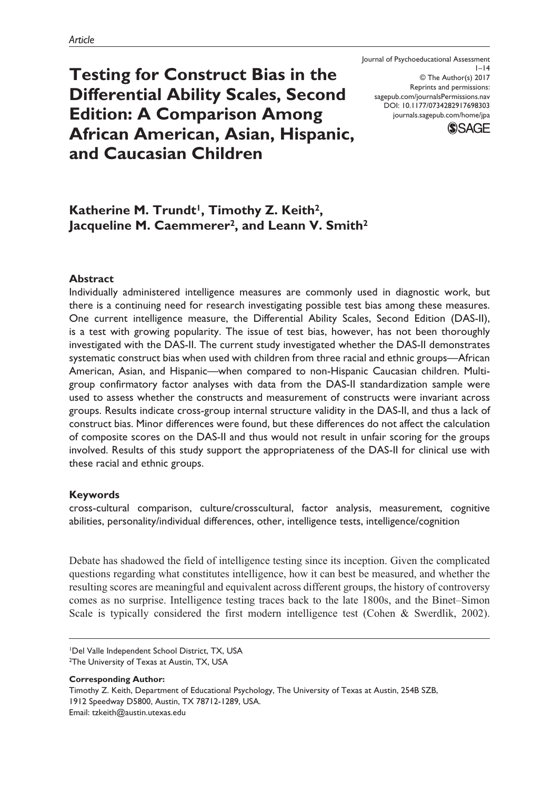**Testing for Construct Bias in the Differential Ability Scales, Second Edition: A Comparison Among African American, Asian, Hispanic, and Caucasian Children**

Journal of Psychoeducational Assessment  $I-I4$ © The Author(s) 2017 Reprints and permissions: [sagepub.com/journalsPermissions.nav](https://us.sagepub.com/en-us/journals-permissions) DOI: 10.1177/0734282917698303 [journals.sagepub.com/home/jpa](https://journals.sagepub.com/home/jpa) **SSAGE** 

# Katherine M. Trundt<sup>1</sup>, Timothy Z. Keith<sup>2</sup>, **Jacqueline M. Caemmerer2, and Leann V. Smith2**

## **Abstract**

Individually administered intelligence measures are commonly used in diagnostic work, but there is a continuing need for research investigating possible test bias among these measures. One current intelligence measure, the Differential Ability Scales, Second Edition (DAS-II), is a test with growing popularity. The issue of test bias, however, has not been thoroughly investigated with the DAS-II. The current study investigated whether the DAS-II demonstrates systematic construct bias when used with children from three racial and ethnic groups—African American, Asian, and Hispanic—when compared to non-Hispanic Caucasian children. Multigroup confirmatory factor analyses with data from the DAS-II standardization sample were used to assess whether the constructs and measurement of constructs were invariant across groups. Results indicate cross-group internal structure validity in the DAS-II, and thus a lack of construct bias. Minor differences were found, but these differences do not affect the calculation of composite scores on the DAS-II and thus would not result in unfair scoring for the groups involved. Results of this study support the appropriateness of the DAS-II for clinical use with these racial and ethnic groups.

### **Keywords**

cross-cultural comparison, culture/crosscultural, factor analysis, measurement, cognitive abilities, personality/individual differences, other, intelligence tests, intelligence/cognition

Debate has shadowed the field of intelligence testing since its inception. Given the complicated questions regarding what constitutes intelligence, how it can best be measured, and whether the resulting scores are meaningful and equivalent across different groups, the history of controversy comes as no surprise. Intelligence testing traces back to the late 1800s, and the Binet–Simon Scale is typically considered the first modern intelligence test (Cohen & Swerdlik, 2002).

**Corresponding Author:**

<sup>1</sup>Del Valle Independent School District, TX, USA 2The University of Texas at Austin, TX, USA

Timothy Z. Keith, Department of Educational Psychology, The University of Texas at Austin, 254B SZB, 1912 Speedway D5800, Austin, TX 78712-1289, USA. Email: [tzkeith@austin.utexas.edu](mailto:tzkeith@austin.utexas.edu)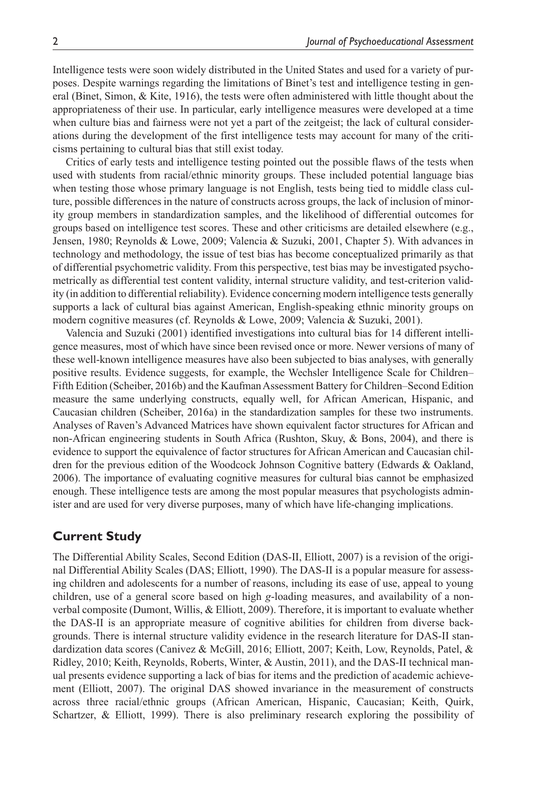Intelligence tests were soon widely distributed in the United States and used for a variety of purposes. Despite warnings regarding the limitations of Binet's test and intelligence testing in general (Binet, Simon, & Kite, 1916), the tests were often administered with little thought about the appropriateness of their use. In particular, early intelligence measures were developed at a time when culture bias and fairness were not yet a part of the zeitgeist; the lack of cultural considerations during the development of the first intelligence tests may account for many of the criticisms pertaining to cultural bias that still exist today.

Critics of early tests and intelligence testing pointed out the possible flaws of the tests when used with students from racial/ethnic minority groups. These included potential language bias when testing those whose primary language is not English, tests being tied to middle class culture, possible differences in the nature of constructs across groups, the lack of inclusion of minority group members in standardization samples, and the likelihood of differential outcomes for groups based on intelligence test scores. These and other criticisms are detailed elsewhere (e.g., Jensen, 1980; Reynolds & Lowe, 2009; Valencia & Suzuki, 2001, Chapter 5). With advances in technology and methodology, the issue of test bias has become conceptualized primarily as that of differential psychometric validity. From this perspective, test bias may be investigated psychometrically as differential test content validity, internal structure validity, and test-criterion validity (in addition to differential reliability). Evidence concerning modern intelligence tests generally supports a lack of cultural bias against American, English-speaking ethnic minority groups on modern cognitive measures (cf. Reynolds & Lowe, 2009; Valencia & Suzuki, 2001).

Valencia and Suzuki (2001) identified investigations into cultural bias for 14 different intelligence measures, most of which have since been revised once or more. Newer versions of many of these well-known intelligence measures have also been subjected to bias analyses, with generally positive results. Evidence suggests, for example, the Wechsler Intelligence Scale for Children– Fifth Edition (Scheiber, 2016b) and the Kaufman Assessment Battery for Children–Second Edition measure the same underlying constructs, equally well, for African American, Hispanic, and Caucasian children (Scheiber, 2016a) in the standardization samples for these two instruments. Analyses of Raven's Advanced Matrices have shown equivalent factor structures for African and non-African engineering students in South Africa (Rushton, Skuy, & Bons, 2004), and there is evidence to support the equivalence of factor structures for African American and Caucasian children for the previous edition of the Woodcock Johnson Cognitive battery (Edwards & Oakland, 2006). The importance of evaluating cognitive measures for cultural bias cannot be emphasized enough. These intelligence tests are among the most popular measures that psychologists administer and are used for very diverse purposes, many of which have life-changing implications.

## **Current Study**

The Differential Ability Scales, Second Edition (DAS-II, Elliott, 2007) is a revision of the original Differential Ability Scales (DAS; Elliott, 1990). The DAS-II is a popular measure for assessing children and adolescents for a number of reasons, including its ease of use, appeal to young children, use of a general score based on high *g*-loading measures, and availability of a nonverbal composite (Dumont, Willis, & Elliott, 2009). Therefore, it is important to evaluate whether the DAS-II is an appropriate measure of cognitive abilities for children from diverse backgrounds. There is internal structure validity evidence in the research literature for DAS-II standardization data scores (Canivez & McGill, 2016; Elliott, 2007; Keith, Low, Reynolds, Patel, & Ridley, 2010; Keith, Reynolds, Roberts, Winter, & Austin, 2011), and the DAS-II technical manual presents evidence supporting a lack of bias for items and the prediction of academic achievement (Elliott, 2007). The original DAS showed invariance in the measurement of constructs across three racial/ethnic groups (African American, Hispanic, Caucasian; Keith, Quirk, Schartzer, & Elliott, 1999). There is also preliminary research exploring the possibility of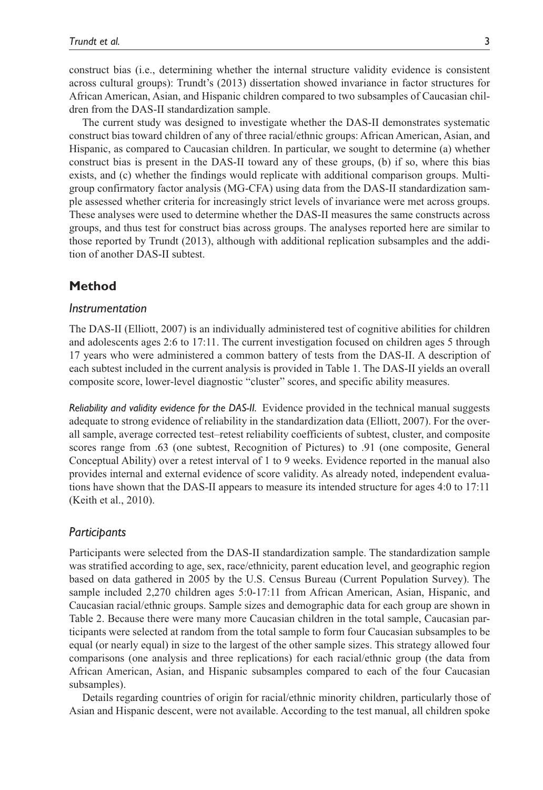construct bias (i.e., determining whether the internal structure validity evidence is consistent across cultural groups): Trundt's (2013) dissertation showed invariance in factor structures for African American, Asian, and Hispanic children compared to two subsamples of Caucasian children from the DAS-II standardization sample.

The current study was designed to investigate whether the DAS-II demonstrates systematic construct bias toward children of any of three racial/ethnic groups: African American, Asian, and Hispanic, as compared to Caucasian children. In particular, we sought to determine (a) whether construct bias is present in the DAS-II toward any of these groups, (b) if so, where this bias exists, and (c) whether the findings would replicate with additional comparison groups. Multigroup confirmatory factor analysis (MG-CFA) using data from the DAS-II standardization sample assessed whether criteria for increasingly strict levels of invariance were met across groups. These analyses were used to determine whether the DAS-II measures the same constructs across groups, and thus test for construct bias across groups. The analyses reported here are similar to those reported by Trundt (2013), although with additional replication subsamples and the addition of another DAS-II subtest.

## **Method**

#### *Instrumentation*

The DAS-II (Elliott, 2007) is an individually administered test of cognitive abilities for children and adolescents ages 2:6 to 17:11. The current investigation focused on children ages 5 through 17 years who were administered a common battery of tests from the DAS-II. A description of each subtest included in the current analysis is provided in Table 1. The DAS-II yields an overall composite score, lower-level diagnostic "cluster" scores, and specific ability measures.

*Reliability and validity evidence for the DAS-II.* Evidence provided in the technical manual suggests adequate to strong evidence of reliability in the standardization data (Elliott, 2007). For the overall sample, average corrected test–retest reliability coefficients of subtest, cluster, and composite scores range from .63 (one subtest, Recognition of Pictures) to .91 (one composite, General Conceptual Ability) over a retest interval of 1 to 9 weeks. Evidence reported in the manual also provides internal and external evidence of score validity. As already noted, independent evaluations have shown that the DAS-II appears to measure its intended structure for ages 4:0 to 17:11 (Keith et al., 2010).

### *Participants*

Participants were selected from the DAS-II standardization sample. The standardization sample was stratified according to age, sex, race/ethnicity, parent education level, and geographic region based on data gathered in 2005 by the U.S. Census Bureau (Current Population Survey). The sample included 2,270 children ages 5:0-17:11 from African American, Asian, Hispanic, and Caucasian racial/ethnic groups. Sample sizes and demographic data for each group are shown in Table 2. Because there were many more Caucasian children in the total sample, Caucasian participants were selected at random from the total sample to form four Caucasian subsamples to be equal (or nearly equal) in size to the largest of the other sample sizes. This strategy allowed four comparisons (one analysis and three replications) for each racial/ethnic group (the data from African American, Asian, and Hispanic subsamples compared to each of the four Caucasian subsamples).

Details regarding countries of origin for racial/ethnic minority children, particularly those of Asian and Hispanic descent, were not available. According to the test manual, all children spoke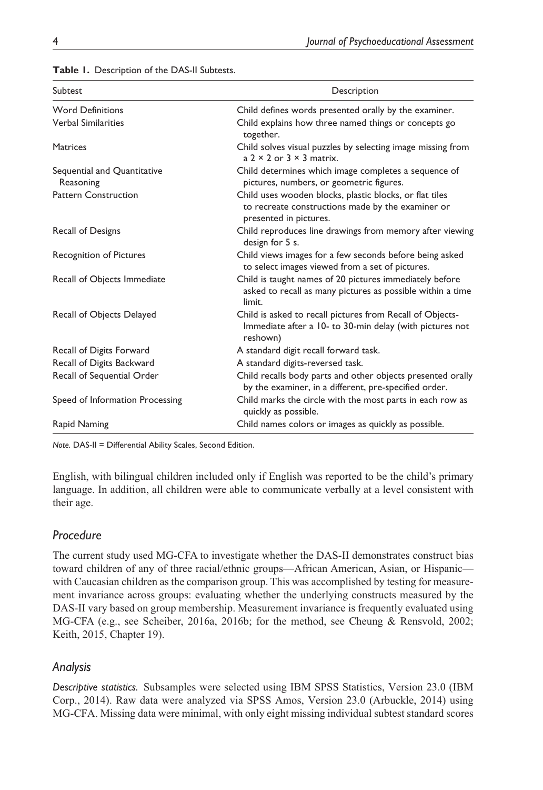| Subtest                                  | Description                                                                                                                            |  |  |  |  |
|------------------------------------------|----------------------------------------------------------------------------------------------------------------------------------------|--|--|--|--|
| <b>Word Definitions</b>                  | Child defines words presented orally by the examiner.                                                                                  |  |  |  |  |
| <b>Verbal Similarities</b>               | Child explains how three named things or concepts go<br>together.                                                                      |  |  |  |  |
| <b>Matrices</b>                          | Child solves visual puzzles by selecting image missing from<br>$a$ 2 $\times$ 2 or 3 $\times$ 3 matrix.                                |  |  |  |  |
| Sequential and Quantitative<br>Reasoning | Child determines which image completes a sequence of<br>pictures, numbers, or geometric figures.                                       |  |  |  |  |
| <b>Pattern Construction</b>              | Child uses wooden blocks, plastic blocks, or flat tiles<br>to recreate constructions made by the examiner or<br>presented in pictures. |  |  |  |  |
| Recall of Designs                        | Child reproduces line drawings from memory after viewing<br>design for 5 s.                                                            |  |  |  |  |
| Recognition of Pictures                  | Child views images for a few seconds before being asked<br>to select images viewed from a set of pictures.                             |  |  |  |  |
| Recall of Objects Immediate              | Child is taught names of 20 pictures immediately before<br>asked to recall as many pictures as possible within a time<br>limit.        |  |  |  |  |
| Recall of Objects Delayed                | Child is asked to recall pictures from Recall of Objects-<br>Immediate after a 10- to 30-min delay (with pictures not<br>reshown)      |  |  |  |  |
| Recall of Digits Forward                 | A standard digit recall forward task.                                                                                                  |  |  |  |  |
| Recall of Digits Backward                | A standard digits-reversed task.                                                                                                       |  |  |  |  |
| Recall of Sequential Order               | Child recalls body parts and other objects presented orally<br>by the examiner, in a different, pre-specified order.                   |  |  |  |  |
| Speed of Information Processing          | Child marks the circle with the most parts in each row as<br>quickly as possible.                                                      |  |  |  |  |
| Rapid Naming                             | Child names colors or images as quickly as possible.                                                                                   |  |  |  |  |

**Table 1.** Description of the DAS-II Subtests.

*Note.* DAS-II = Differential Ability Scales, Second Edition.

English, with bilingual children included only if English was reported to be the child's primary language. In addition, all children were able to communicate verbally at a level consistent with their age.

# *Procedure*

The current study used MG-CFA to investigate whether the DAS-II demonstrates construct bias toward children of any of three racial/ethnic groups—African American, Asian, or Hispanic with Caucasian children as the comparison group. This was accomplished by testing for measurement invariance across groups: evaluating whether the underlying constructs measured by the DAS-II vary based on group membership. Measurement invariance is frequently evaluated using MG-CFA (e.g., see Scheiber, 2016a, 2016b; for the method, see Cheung & Rensvold, 2002; Keith, 2015, Chapter 19).

# *Analysis*

*Descriptive statistics.* Subsamples were selected using IBM SPSS Statistics, Version 23.0 (IBM Corp., 2014). Raw data were analyzed via SPSS Amos, Version 23.0 (Arbuckle, 2014) using MG-CFA. Missing data were minimal, with only eight missing individual subtest standard scores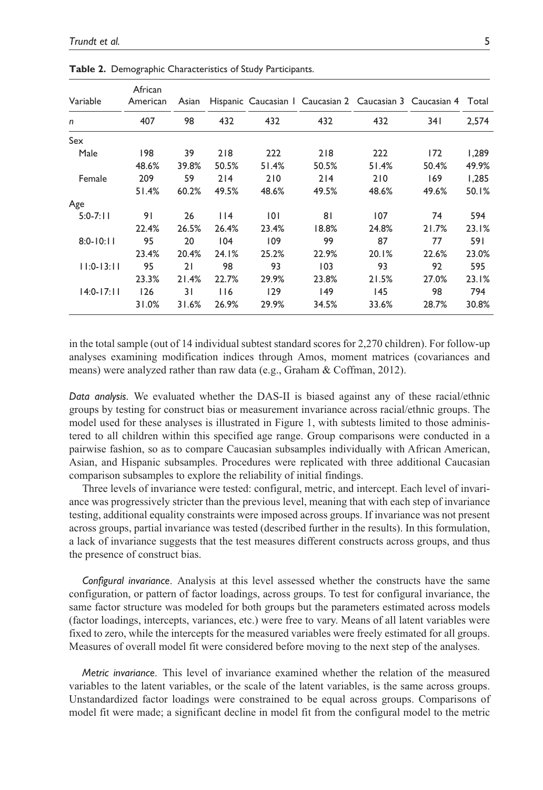| Variable       | African<br>American | Asian |       |       |       | Hispanic Caucasian   Caucasian 2 Caucasian 3 Caucasian 4 |       | Total |
|----------------|---------------------|-------|-------|-------|-------|----------------------------------------------------------|-------|-------|
| n              | 407                 | 98    | 432   | 432   | 432   | 432                                                      | 34 I  | 2,574 |
| Sex            |                     |       |       |       |       |                                                          |       |       |
| Male           | 198                 | 39    | 218   | 222   | 218   | 222                                                      | 172   | 1,289 |
|                | 48.6%               | 39.8% | 50.5% | 51.4% | 50.5% | 51.4%                                                    | 50.4% | 49.9% |
| Female         | 209                 | 59    | 214   | 210   | 214   | 210                                                      | 169   | 1,285 |
|                | 51.4%               | 60.2% | 49.5% | 48.6% | 49.5% | 48.6%                                                    | 49.6% | 50.1% |
| Age            |                     |       |       |       |       |                                                          |       |       |
| $5:0 - 7:11$   | 91                  | 26    | 114   | 0     | 81    | 107                                                      | 74    | 594   |
|                | 22.4%               | 26.5% | 26.4% | 23.4% | 18.8% | 24.8%                                                    | 21.7% | 23.1% |
| $8:0 - 10:11$  | 95                  | 20    | 104   | 109   | 99    | 87                                                       | 77    | 591   |
|                | 23.4%               | 20.4% | 24.1% | 25.2% | 22.9% | 20.1%                                                    | 22.6% | 23.0% |
| $11:0-13:11$   | 95                  | 21    | 98    | 93    | 103   | 93                                                       | 92    | 595   |
|                | 23.3%               | 21.4% | 22.7% | 29.9% | 23.8% | 21.5%                                                    | 27.0% | 23.1% |
| $14:0 - 17:11$ | 126                 | 31    | 116   | 129   | 149   | 145                                                      | 98    | 794   |
|                | 31.0%               | 31.6% | 26.9% | 29.9% | 34.5% | 33.6%                                                    | 28.7% | 30.8% |

**Table 2.** Demographic Characteristics of Study Participants.

in the total sample (out of 14 individual subtest standard scores for 2,270 children). For follow-up analyses examining modification indices through Amos, moment matrices (covariances and means) were analyzed rather than raw data (e.g., Graham & Coffman, 2012).

*Data analysis.* We evaluated whether the DAS-II is biased against any of these racial/ethnic groups by testing for construct bias or measurement invariance across racial/ethnic groups. The model used for these analyses is illustrated in Figure 1, with subtests limited to those administered to all children within this specified age range. Group comparisons were conducted in a pairwise fashion, so as to compare Caucasian subsamples individually with African American, Asian, and Hispanic subsamples. Procedures were replicated with three additional Caucasian comparison subsamples to explore the reliability of initial findings.

Three levels of invariance were tested: configural, metric, and intercept. Each level of invariance was progressively stricter than the previous level, meaning that with each step of invariance testing, additional equality constraints were imposed across groups. If invariance was not present across groups, partial invariance was tested (described further in the results). In this formulation, a lack of invariance suggests that the test measures different constructs across groups, and thus the presence of construct bias.

*Configural invariance*. Analysis at this level assessed whether the constructs have the same configuration, or pattern of factor loadings, across groups. To test for configural invariance, the same factor structure was modeled for both groups but the parameters estimated across models (factor loadings, intercepts, variances, etc.) were free to vary. Means of all latent variables were fixed to zero, while the intercepts for the measured variables were freely estimated for all groups. Measures of overall model fit were considered before moving to the next step of the analyses.

*Metric invariance*. This level of invariance examined whether the relation of the measured variables to the latent variables, or the scale of the latent variables, is the same across groups. Unstandardized factor loadings were constrained to be equal across groups. Comparisons of model fit were made; a significant decline in model fit from the configural model to the metric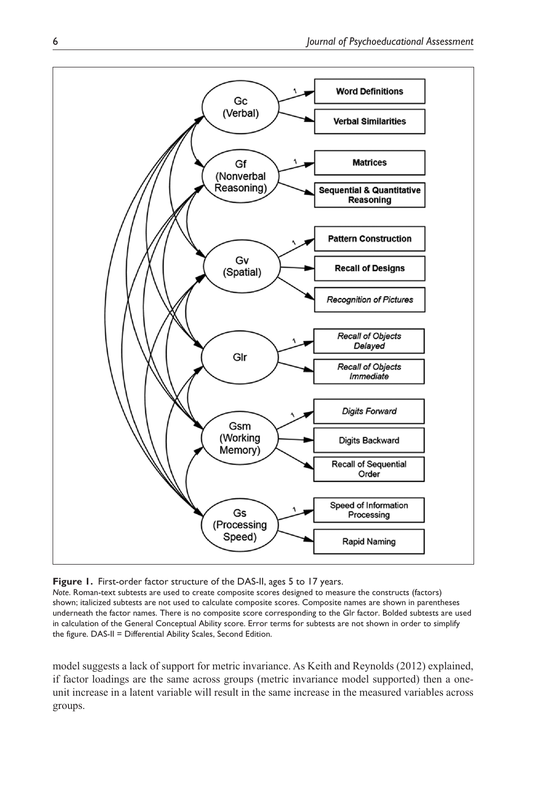

**Figure 1.** First-order factor structure of the DAS-II, ages 5 to 17 years.

*Note*. Roman-text subtests are used to create composite scores designed to measure the constructs (factors) shown; italicized subtests are not used to calculate composite scores. Composite names are shown in parentheses underneath the factor names. There is no composite score corresponding to the Glr factor. Bolded subtests are used in calculation of the General Conceptual Ability score. Error terms for subtests are not shown in order to simplify the figure. DAS-II = Differential Ability Scales, Second Edition.

model suggests a lack of support for metric invariance. As Keith and Reynolds (2012) explained, if factor loadings are the same across groups (metric invariance model supported) then a oneunit increase in a latent variable will result in the same increase in the measured variables across groups.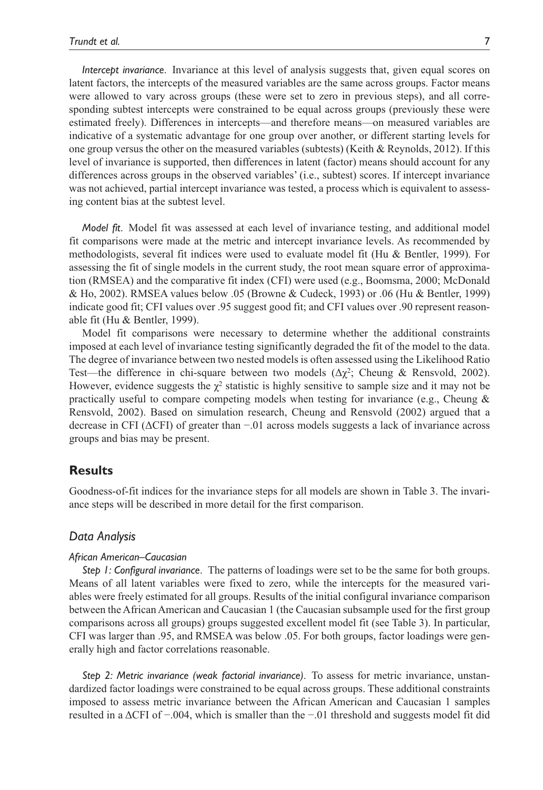*Intercept invariance*. Invariance at this level of analysis suggests that, given equal scores on latent factors, the intercepts of the measured variables are the same across groups. Factor means were allowed to vary across groups (these were set to zero in previous steps), and all corresponding subtest intercepts were constrained to be equal across groups (previously these were estimated freely). Differences in intercepts—and therefore means—on measured variables are indicative of a systematic advantage for one group over another, or different starting levels for one group versus the other on the measured variables (subtests) (Keith & Reynolds, 2012). If this level of invariance is supported, then differences in latent (factor) means should account for any differences across groups in the observed variables' (i.e., subtest) scores. If intercept invariance was not achieved, partial intercept invariance was tested, a process which is equivalent to assessing content bias at the subtest level.

*Model fit*. Model fit was assessed at each level of invariance testing, and additional model fit comparisons were made at the metric and intercept invariance levels. As recommended by methodologists, several fit indices were used to evaluate model fit (Hu & Bentler, 1999). For assessing the fit of single models in the current study, the root mean square error of approximation (RMSEA) and the comparative fit index (CFI) were used (e.g., Boomsma, 2000; McDonald & Ho, 2002). RMSEA values below .05 (Browne & Cudeck, 1993) or .06 (Hu & Bentler, 1999) indicate good fit; CFI values over .95 suggest good fit; and CFI values over .90 represent reasonable fit (Hu & Bentler, 1999).

Model fit comparisons were necessary to determine whether the additional constraints imposed at each level of invariance testing significantly degraded the fit of the model to the data. The degree of invariance between two nested models is often assessed using the Likelihood Ratio Test—the difference in chi-square between two models (Δχ<sup>2</sup>; Cheung & Rensvold, 2002). However, evidence suggests the  $\chi^2$  statistic is highly sensitive to sample size and it may not be practically useful to compare competing models when testing for invariance (e.g., Cheung  $\&$ Rensvold, 2002). Based on simulation research, Cheung and Rensvold (2002) argued that a decrease in CFI (ΔCFI) of greater than −.01 across models suggests a lack of invariance across groups and bias may be present.

# **Results**

Goodness-of-fit indices for the invariance steps for all models are shown in Table 3. The invariance steps will be described in more detail for the first comparison.

#### *Data Analysis*

#### *African American–Caucasian*

*Step 1: Configural invariance*. The patterns of loadings were set to be the same for both groups. Means of all latent variables were fixed to zero, while the intercepts for the measured variables were freely estimated for all groups. Results of the initial configural invariance comparison between the African American and Caucasian 1 (the Caucasian subsample used for the first group comparisons across all groups) groups suggested excellent model fit (see Table 3). In particular, CFI was larger than .95, and RMSEA was below .05. For both groups, factor loadings were generally high and factor correlations reasonable.

*Step 2: Metric invariance (weak factorial invariance)*. To assess for metric invariance, unstandardized factor loadings were constrained to be equal across groups. These additional constraints imposed to assess metric invariance between the African American and Caucasian 1 samples resulted in a ΔCFI of −.004, which is smaller than the −.01 threshold and suggests model fit did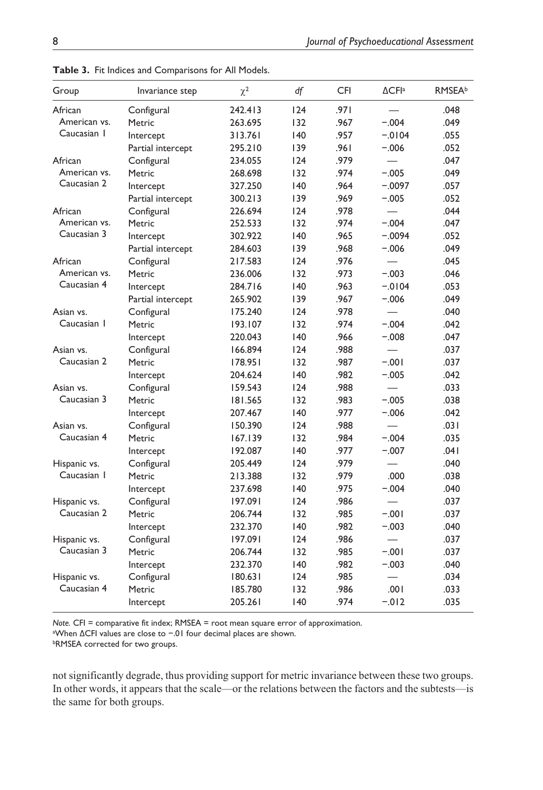| Group        | Invariance step   | $\chi^2$ | df  | <b>CFI</b> | $\Delta$ CFIa            | <b>RMSEA</b> b |
|--------------|-------------------|----------|-----|------------|--------------------------|----------------|
| African      | Configural        | 242.413  | 124 | .971       |                          | .048           |
| American vs. | Metric            | 263.695  | 132 | .967       | $-.004$                  | .049           |
| Caucasian 1  | Intercept         | 313.761  | 140 | .957       | $-0104$                  | .055           |
|              | Partial intercept | 295.210  | 139 | .961       | $-.006$                  | .052           |
| African      | Configural        | 234.055  | 124 | .979       |                          | .047           |
| American vs. | Metric            | 268.698  | 132 | .974       | $-.005$                  | .049           |
| Caucasian 2  | Intercept         | 327.250  | 140 | .964       | $-.0097$                 | .057           |
|              | Partial intercept | 300.213  | 139 | .969       | $-.005$                  | .052           |
| African      | Configural        | 226.694  | 124 | .978       |                          | .044           |
| American vs. | Metric            | 252.533  | 132 | .974       | $-.004$                  | .047           |
| Caucasian 3  | Intercept         | 302.922  | 140 | .965       | $-.0094$                 | .052           |
|              | Partial intercept | 284.603  | 139 | .968       | $-.006$                  | .049           |
| African      | Configural        | 217.583  | 124 | .976       | $\overline{\phantom{0}}$ | .045           |
| American vs. | Metric            | 236.006  | 132 | .973       | $-.003$                  | .046           |
| Caucasian 4  | Intercept         | 284.716  | 140 | .963       | $-0104$                  | .053           |
|              | Partial intercept | 265.902  | 139 | .967       | $-.006$                  | .049           |
| Asian vs.    | Configural        | 175.240  | 124 | .978       |                          | .040           |
| Caucasian 1  | Metric            | 193.107  | 132 | .974       | $-.004$                  | .042           |
|              | Intercept         | 220.043  | 140 | .966       | $-.008$                  | .047           |
| Asian vs.    | Configural        | 166.894  | 124 | .988       |                          | .037           |
| Caucasian 2  | Metric            | 178.951  | 132 | .987       | $-.001$                  | .037           |
|              | Intercept         | 204.624  | 140 | .982       | $-.005$                  | .042           |
| Asian vs.    | Configural        | 159.543  | 124 | .988       | $\overline{\phantom{0}}$ | .033           |
| Caucasian 3  | Metric            | 181.565  | 132 | .983       | $-.005$                  | .038           |
|              | Intercept         | 207.467  | 40  | .977       | $-.006$                  | .042           |
| Asian vs.    | Configural        | 150.390  | 124 | .988       |                          | .031           |
| Caucasian 4  | Metric            | 167.139  | 132 | .984       | $-.004$                  | .035           |
|              | Intercept         | 192.087  | 140 | .977       | $-.007$                  | .041           |
| Hispanic vs. | Configural        | 205.449  | 124 | .979       | $\overline{\phantom{0}}$ | .040           |
| Caucasian I  | Metric            | 213.388  | 132 | .979       | .000                     | .038           |
|              | Intercept         | 237.698  | 140 | .975       | $-.004$                  | .040           |
| Hispanic vs. | Configural        | 197.091  | 124 | .986       | $\overline{\phantom{0}}$ | .037           |
| Caucasian 2  | Metric            | 206.744  | 132 | .985       | $-.001$                  | .037           |
|              | Intercept         | 232.370  | 140 | .982       | $-.003$                  | .040           |
| Hispanic vs. | Configural        | 197.091  | 124 | .986       | $\overline{\phantom{0}}$ | .037           |
| Caucasian 3  | Metric            | 206.744  | 132 | .985       | $-.001$                  | .037           |
|              | Intercept         | 232.370  | 140 | .982       | $-.003$                  | .040           |
| Hispanic vs. | Configural        | 180.631  | 124 | .985       |                          | .034           |
| Caucasian 4  | Metric            | 185.780  | 132 | .986       | .001                     | .033           |
|              | Intercept         | 205.261  | 140 | .974       | $-.012$                  | .035           |
|              |                   |          |     |            |                          |                |

**Table 3.** Fit Indices and Comparisons for All Models.

*Note.* CFI = comparative fit index; RMSEA = root mean square error of approximation. a When ΔCFI values are close to −.01 four decimal places are shown.

bRMSEA corrected for two groups.

not significantly degrade, thus providing support for metric invariance between these two groups. In other words, it appears that the scale—or the relations between the factors and the subtests—is the same for both groups.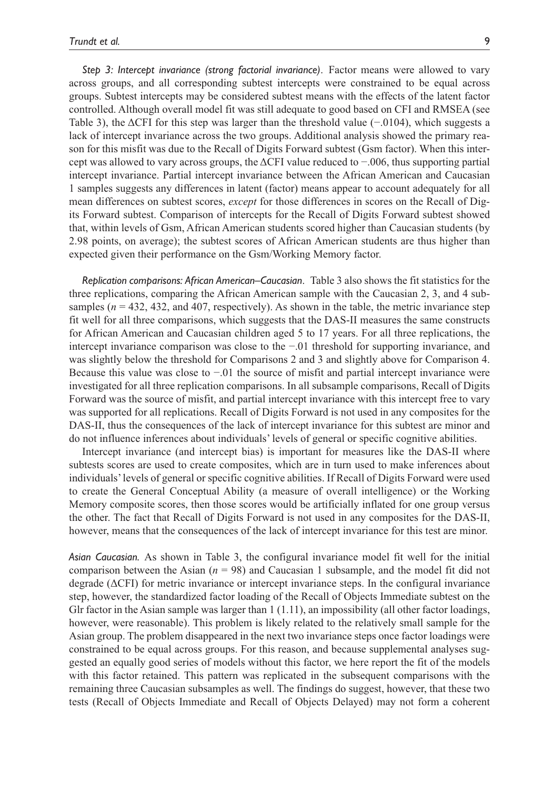*Step 3: Intercept invariance (strong factorial invariance)*. Factor means were allowed to vary across groups, and all corresponding subtest intercepts were constrained to be equal across groups. Subtest intercepts may be considered subtest means with the effects of the latent factor controlled. Although overall model fit was still adequate to good based on CFI and RMSEA (see Table 3), the ΔCFI for this step was larger than the threshold value (−.0104), which suggests a lack of intercept invariance across the two groups. Additional analysis showed the primary reason for this misfit was due to the Recall of Digits Forward subtest (Gsm factor). When this intercept was allowed to vary across groups, the ΔCFI value reduced to −.006, thus supporting partial intercept invariance. Partial intercept invariance between the African American and Caucasian 1 samples suggests any differences in latent (factor) means appear to account adequately for all mean differences on subtest scores, *except* for those differences in scores on the Recall of Digits Forward subtest. Comparison of intercepts for the Recall of Digits Forward subtest showed that, within levels of Gsm, African American students scored higher than Caucasian students (by 2.98 points, on average); the subtest scores of African American students are thus higher than expected given their performance on the Gsm/Working Memory factor.

*Replication comparisons: African American–Caucasian*. Table 3 also shows the fit statistics for the three replications, comparing the African American sample with the Caucasian 2, 3, and 4 subsamples ( $n = 432, 432,$  and  $407$ , respectively). As shown in the table, the metric invariance step fit well for all three comparisons, which suggests that the DAS-II measures the same constructs for African American and Caucasian children aged 5 to 17 years. For all three replications, the intercept invariance comparison was close to the −.01 threshold for supporting invariance, and was slightly below the threshold for Comparisons 2 and 3 and slightly above for Comparison 4. Because this value was close to −.01 the source of misfit and partial intercept invariance were investigated for all three replication comparisons. In all subsample comparisons, Recall of Digits Forward was the source of misfit, and partial intercept invariance with this intercept free to vary was supported for all replications. Recall of Digits Forward is not used in any composites for the DAS-II, thus the consequences of the lack of intercept invariance for this subtest are minor and do not influence inferences about individuals' levels of general or specific cognitive abilities.

Intercept invariance (and intercept bias) is important for measures like the DAS-II where subtests scores are used to create composites, which are in turn used to make inferences about individuals' levels of general or specific cognitive abilities. If Recall of Digits Forward were used to create the General Conceptual Ability (a measure of overall intelligence) or the Working Memory composite scores, then those scores would be artificially inflated for one group versus the other. The fact that Recall of Digits Forward is not used in any composites for the DAS-II, however, means that the consequences of the lack of intercept invariance for this test are minor.

*Asian Caucasian.* As shown in Table 3, the configural invariance model fit well for the initial comparison between the Asian (*n* = 98) and Caucasian 1 subsample, and the model fit did not degrade (ΔCFI) for metric invariance or intercept invariance steps. In the configural invariance step, however, the standardized factor loading of the Recall of Objects Immediate subtest on the Glr factor in the Asian sample was larger than 1 (1.11), an impossibility (all other factor loadings, however, were reasonable). This problem is likely related to the relatively small sample for the Asian group. The problem disappeared in the next two invariance steps once factor loadings were constrained to be equal across groups. For this reason, and because supplemental analyses suggested an equally good series of models without this factor, we here report the fit of the models with this factor retained. This pattern was replicated in the subsequent comparisons with the remaining three Caucasian subsamples as well. The findings do suggest, however, that these two tests (Recall of Objects Immediate and Recall of Objects Delayed) may not form a coherent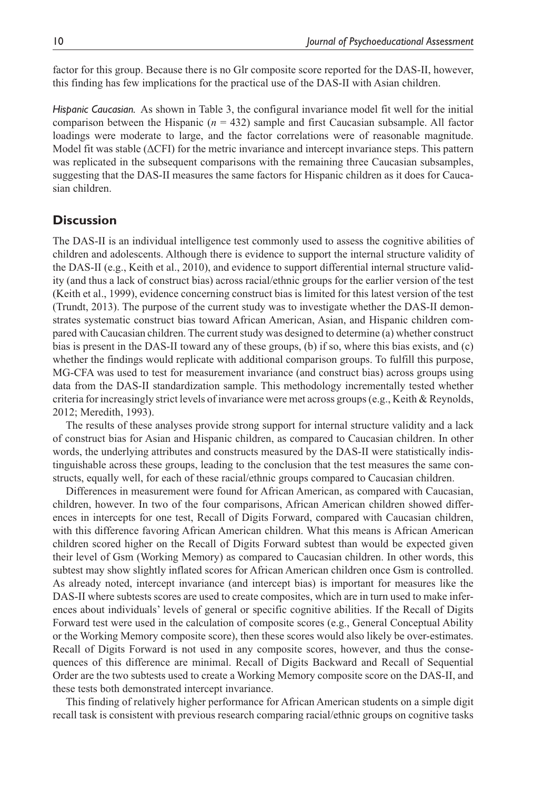factor for this group. Because there is no Glr composite score reported for the DAS-II, however, this finding has few implications for the practical use of the DAS-II with Asian children.

*Hispanic Caucasian.* As shown in Table 3, the configural invariance model fit well for the initial comparison between the Hispanic ( $n = 432$ ) sample and first Caucasian subsample. All factor loadings were moderate to large, and the factor correlations were of reasonable magnitude. Model fit was stable (ΔCFI) for the metric invariance and intercept invariance steps. This pattern was replicated in the subsequent comparisons with the remaining three Caucasian subsamples, suggesting that the DAS-II measures the same factors for Hispanic children as it does for Caucasian children.

## **Discussion**

The DAS-II is an individual intelligence test commonly used to assess the cognitive abilities of children and adolescents. Although there is evidence to support the internal structure validity of the DAS-II (e.g., Keith et al., 2010), and evidence to support differential internal structure validity (and thus a lack of construct bias) across racial/ethnic groups for the earlier version of the test (Keith et al., 1999), evidence concerning construct bias is limited for this latest version of the test (Trundt, 2013). The purpose of the current study was to investigate whether the DAS-II demonstrates systematic construct bias toward African American, Asian, and Hispanic children compared with Caucasian children. The current study was designed to determine (a) whether construct bias is present in the DAS-II toward any of these groups, (b) if so, where this bias exists, and (c) whether the findings would replicate with additional comparison groups. To fulfill this purpose, MG-CFA was used to test for measurement invariance (and construct bias) across groups using data from the DAS-II standardization sample. This methodology incrementally tested whether criteria for increasingly strict levels of invariance were met across groups (e.g., Keith & Reynolds, 2012; Meredith, 1993).

The results of these analyses provide strong support for internal structure validity and a lack of construct bias for Asian and Hispanic children, as compared to Caucasian children. In other words, the underlying attributes and constructs measured by the DAS-II were statistically indistinguishable across these groups, leading to the conclusion that the test measures the same constructs, equally well, for each of these racial/ethnic groups compared to Caucasian children.

Differences in measurement were found for African American, as compared with Caucasian, children, however. In two of the four comparisons, African American children showed differences in intercepts for one test, Recall of Digits Forward, compared with Caucasian children, with this difference favoring African American children. What this means is African American children scored higher on the Recall of Digits Forward subtest than would be expected given their level of Gsm (Working Memory) as compared to Caucasian children. In other words, this subtest may show slightly inflated scores for African American children once Gsm is controlled. As already noted, intercept invariance (and intercept bias) is important for measures like the DAS-II where subtests scores are used to create composites, which are in turn used to make inferences about individuals' levels of general or specific cognitive abilities. If the Recall of Digits Forward test were used in the calculation of composite scores (e.g., General Conceptual Ability or the Working Memory composite score), then these scores would also likely be over-estimates. Recall of Digits Forward is not used in any composite scores, however, and thus the consequences of this difference are minimal. Recall of Digits Backward and Recall of Sequential Order are the two subtests used to create a Working Memory composite score on the DAS-II, and these tests both demonstrated intercept invariance.

This finding of relatively higher performance for African American students on a simple digit recall task is consistent with previous research comparing racial/ethnic groups on cognitive tasks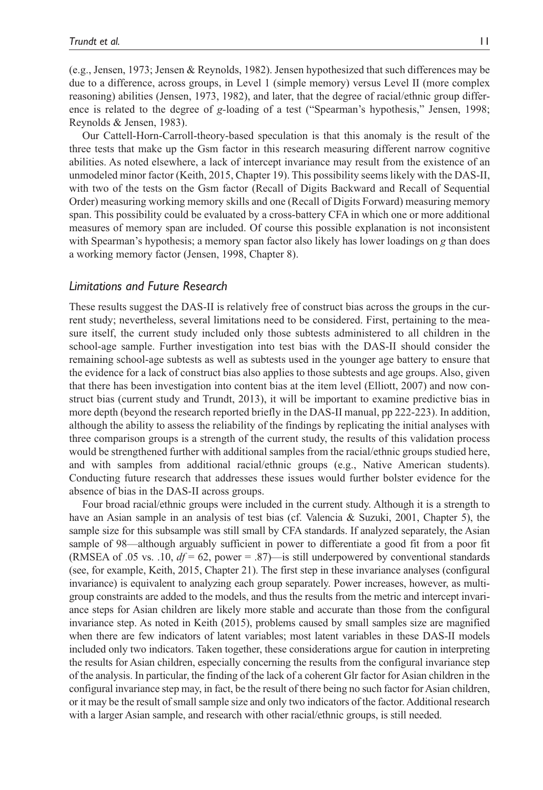(e.g., Jensen, 1973; Jensen & Reynolds, 1982). Jensen hypothesized that such differences may be due to a difference, across groups, in Level 1 (simple memory) versus Level II (more complex reasoning) abilities (Jensen, 1973, 1982), and later, that the degree of racial/ethnic group difference is related to the degree of *g-*loading of a test ("Spearman's hypothesis," Jensen, 1998; Reynolds & Jensen, 1983).

Our Cattell-Horn-Carroll-theory-based speculation is that this anomaly is the result of the three tests that make up the Gsm factor in this research measuring different narrow cognitive abilities. As noted elsewhere, a lack of intercept invariance may result from the existence of an unmodeled minor factor (Keith, 2015, Chapter 19). This possibility seems likely with the DAS-II, with two of the tests on the Gsm factor (Recall of Digits Backward and Recall of Sequential Order) measuring working memory skills and one (Recall of Digits Forward) measuring memory span. This possibility could be evaluated by a cross-battery CFA in which one or more additional measures of memory span are included. Of course this possible explanation is not inconsistent with Spearman's hypothesis; a memory span factor also likely has lower loadings on *g* than does a working memory factor (Jensen, 1998, Chapter 8).

### *Limitations and Future Research*

These results suggest the DAS-II is relatively free of construct bias across the groups in the current study; nevertheless, several limitations need to be considered. First, pertaining to the measure itself, the current study included only those subtests administered to all children in the school-age sample. Further investigation into test bias with the DAS-II should consider the remaining school-age subtests as well as subtests used in the younger age battery to ensure that the evidence for a lack of construct bias also applies to those subtests and age groups. Also, given that there has been investigation into content bias at the item level (Elliott, 2007) and now construct bias (current study and Trundt, 2013), it will be important to examine predictive bias in more depth (beyond the research reported briefly in the DAS-II manual, pp 222-223). In addition, although the ability to assess the reliability of the findings by replicating the initial analyses with three comparison groups is a strength of the current study, the results of this validation process would be strengthened further with additional samples from the racial/ethnic groups studied here, and with samples from additional racial/ethnic groups (e.g., Native American students). Conducting future research that addresses these issues would further bolster evidence for the absence of bias in the DAS-II across groups.

Four broad racial/ethnic groups were included in the current study. Although it is a strength to have an Asian sample in an analysis of test bias (cf. Valencia & Suzuki, 2001, Chapter 5), the sample size for this subsample was still small by CFA standards. If analyzed separately, the Asian sample of 98—although arguably sufficient in power to differentiate a good fit from a poor fit (RMSEA of .05 vs. .10,  $df = 62$ , power = .87)—is still underpowered by conventional standards (see, for example, Keith, 2015, Chapter 21). The first step in these invariance analyses (configural invariance) is equivalent to analyzing each group separately. Power increases, however, as multigroup constraints are added to the models, and thus the results from the metric and intercept invariance steps for Asian children are likely more stable and accurate than those from the configural invariance step. As noted in Keith (2015), problems caused by small samples size are magnified when there are few indicators of latent variables; most latent variables in these DAS-II models included only two indicators. Taken together, these considerations argue for caution in interpreting the results for Asian children, especially concerning the results from the configural invariance step of the analysis. In particular, the finding of the lack of a coherent Glr factor for Asian children in the configural invariance step may, in fact, be the result of there being no such factor for Asian children, or it may be the result of small sample size and only two indicators of the factor. Additional research with a larger Asian sample, and research with other racial/ethnic groups, is still needed.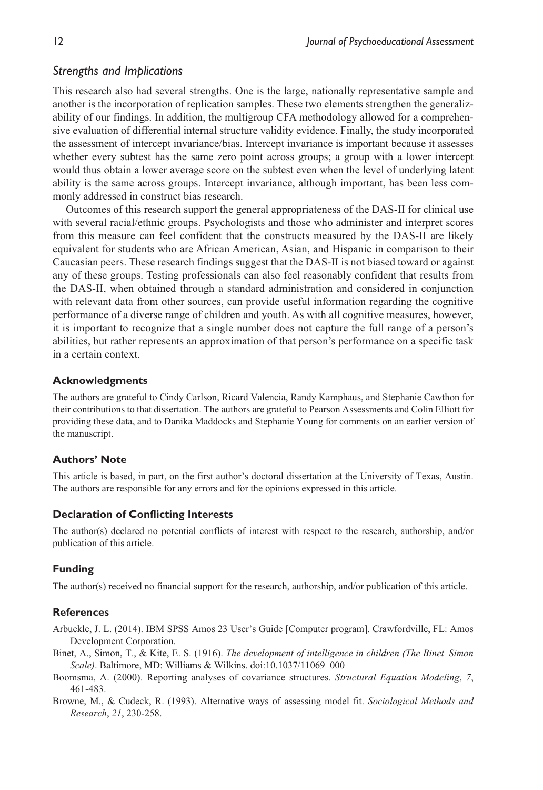## *Strengths and Implications*

This research also had several strengths. One is the large, nationally representative sample and another is the incorporation of replication samples. These two elements strengthen the generalizability of our findings. In addition, the multigroup CFA methodology allowed for a comprehensive evaluation of differential internal structure validity evidence. Finally, the study incorporated the assessment of intercept invariance/bias. Intercept invariance is important because it assesses whether every subtest has the same zero point across groups; a group with a lower intercept would thus obtain a lower average score on the subtest even when the level of underlying latent ability is the same across groups. Intercept invariance, although important, has been less commonly addressed in construct bias research.

Outcomes of this research support the general appropriateness of the DAS-II for clinical use with several racial/ethnic groups. Psychologists and those who administer and interpret scores from this measure can feel confident that the constructs measured by the DAS-II are likely equivalent for students who are African American, Asian, and Hispanic in comparison to their Caucasian peers. These research findings suggest that the DAS-II is not biased toward or against any of these groups. Testing professionals can also feel reasonably confident that results from the DAS-II, when obtained through a standard administration and considered in conjunction with relevant data from other sources, can provide useful information regarding the cognitive performance of a diverse range of children and youth. As with all cognitive measures, however, it is important to recognize that a single number does not capture the full range of a person's abilities, but rather represents an approximation of that person's performance on a specific task in a certain context.

#### **Acknowledgments**

The authors are grateful to Cindy Carlson, Ricard Valencia, Randy Kamphaus, and Stephanie Cawthon for their contributions to that dissertation. The authors are grateful to Pearson Assessments and Colin Elliott for providing these data, and to Danika Maddocks and Stephanie Young for comments on an earlier version of the manuscript.

#### **Authors' Note**

This article is based, in part, on the first author's doctoral dissertation at the University of Texas, Austin. The authors are responsible for any errors and for the opinions expressed in this article.

#### **Declaration of Conflicting Interests**

The author(s) declared no potential conflicts of interest with respect to the research, authorship, and/or publication of this article.

#### **Funding**

The author(s) received no financial support for the research, authorship, and/or publication of this article.

#### **References**

Arbuckle, J. L. (2014). IBM SPSS Amos 23 User's Guide [Computer program]. Crawfordville, FL: Amos Development Corporation.

- Binet, A., Simon, T., & Kite, E. S. (1916). *The development of intelligence in children (The Binet–Simon Scale)*. Baltimore, MD: Williams & Wilkins. doi:10.1037/11069–000
- Boomsma, A. (2000). Reporting analyses of covariance structures. *Structural Equation Modeling*, *7*, 461-483.
- Browne, M., & Cudeck, R. (1993). Alternative ways of assessing model fit. *Sociological Methods and Research*, *21*, 230-258.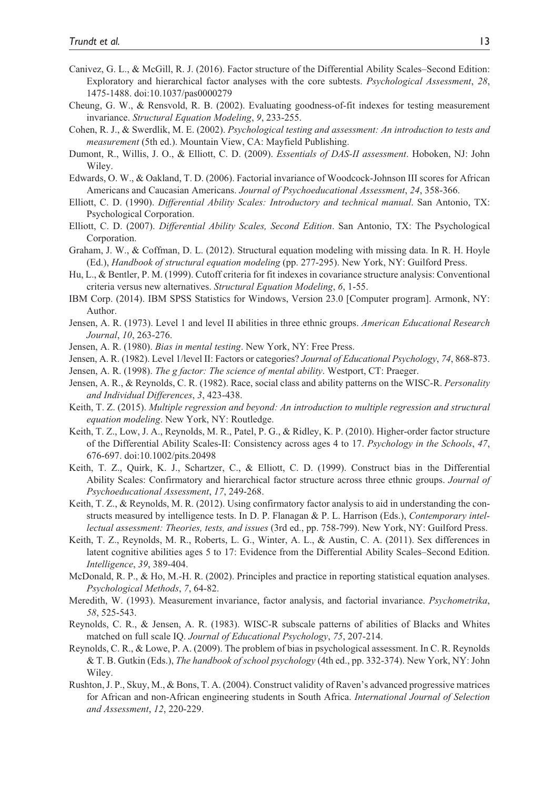- Canivez, G. L., & McGill, R. J. (2016). Factor structure of the Differential Ability Scales–Second Edition: Exploratory and hierarchical factor analyses with the core subtests. *Psychological Assessment*, *28*, 1475-1488. doi:10.1037/pas0000279
- Cheung, G. W., & Rensvold, R. B. (2002). Evaluating goodness-of-fit indexes for testing measurement invariance. *Structural Equation Modeling*, *9*, 233-255.
- Cohen, R. J., & Swerdlik, M. E. (2002). *Psychological testing and assessment: An introduction to tests and measurement* (5th ed.). Mountain View, CA: Mayfield Publishing.
- Dumont, R., Willis, J. O., & Elliott, C. D. (2009). *Essentials of DAS-II assessment*. Hoboken, NJ: John Wiley.
- Edwards, O. W., & Oakland, T. D. (2006). Factorial invariance of Woodcock-Johnson III scores for African Americans and Caucasian Americans. *Journal of Psychoeducational Assessment*, *24*, 358-366.
- Elliott, C. D. (1990). *Differential Ability Scales: Introductory and technical manual*. San Antonio, TX: Psychological Corporation.
- Elliott, C. D. (2007). *Differential Ability Scales, Second Edition*. San Antonio, TX: The Psychological Corporation.
- Graham, J. W., & Coffman, D. L. (2012). Structural equation modeling with missing data. In R. H. Hoyle (Ed.), *Handbook of structural equation modeling* (pp. 277-295). New York, NY: Guilford Press.
- Hu, L., & Bentler, P. M. (1999). Cutoff criteria for fit indexes in covariance structure analysis: Conventional criteria versus new alternatives. *Structural Equation Modeling*, *6*, 1-55.
- IBM Corp. (2014). IBM SPSS Statistics for Windows, Version 23.0 [Computer program]. Armonk, NY: Author.
- Jensen, A. R. (1973). Level 1 and level II abilities in three ethnic groups. *American Educational Research Journal*, *10*, 263-276.
- Jensen, A. R. (1980). *Bias in mental testing*. New York, NY: Free Press.
- Jensen, A. R. (1982). Level 1/level II: Factors or categories? *Journal of Educational Psychology*, *74*, 868-873.
- Jensen, A. R. (1998). *The g factor: The science of mental ability*. Westport, CT: Praeger.
- Jensen, A. R., & Reynolds, C. R. (1982). Race, social class and ability patterns on the WISC-R. *Personality and Individual Differences*, *3*, 423-438.
- Keith, T. Z. (2015). *Multiple regression and beyond: An introduction to multiple regression and structural equation modeling*. New York, NY: Routledge.
- Keith, T. Z., Low, J. A., Reynolds, M. R., Patel, P. G., & Ridley, K. P. (2010). Higher-order factor structure of the Differential Ability Scales-II: Consistency across ages 4 to 17. *Psychology in the Schools*, *47*, 676-697. doi:10.1002/pits.20498
- Keith, T. Z., Quirk, K. J., Schartzer, C., & Elliott, C. D. (1999). Construct bias in the Differential Ability Scales: Confirmatory and hierarchical factor structure across three ethnic groups. *Journal of Psychoeducational Assessment*, *17*, 249-268.
- Keith, T. Z., & Reynolds, M. R. (2012). Using confirmatory factor analysis to aid in understanding the constructs measured by intelligence tests. In D. P. Flanagan & P. L. Harrison (Eds.), *Contemporary intellectual assessment: Theories, tests, and issues* (3rd ed., pp. 758-799). New York, NY: Guilford Press.
- Keith, T. Z., Reynolds, M. R., Roberts, L. G., Winter, A. L., & Austin, C. A. (2011). Sex differences in latent cognitive abilities ages 5 to 17: Evidence from the Differential Ability Scales–Second Edition. *Intelligence*, *39*, 389-404.
- McDonald, R. P., & Ho, M.-H. R. (2002). Principles and practice in reporting statistical equation analyses. *Psychological Methods*, *7*, 64-82.
- Meredith, W. (1993). Measurement invariance, factor analysis, and factorial invariance. *Psychometrika*, *58*, 525-543.
- Reynolds, C. R., & Jensen, A. R. (1983). WISC-R subscale patterns of abilities of Blacks and Whites matched on full scale IQ. *Journal of Educational Psychology*, *75*, 207-214.
- Reynolds, C. R., & Lowe, P. A. (2009). The problem of bias in psychological assessment. In C. R. Reynolds & T. B. Gutkin (Eds.), *The handbook of school psychology* (4th ed., pp. 332-374). New York, NY: John Wiley.
- Rushton, J. P., Skuy, M., & Bons, T. A. (2004). Construct validity of Raven's advanced progressive matrices for African and non-African engineering students in South Africa. *International Journal of Selection and Assessment*, *12*, 220-229.